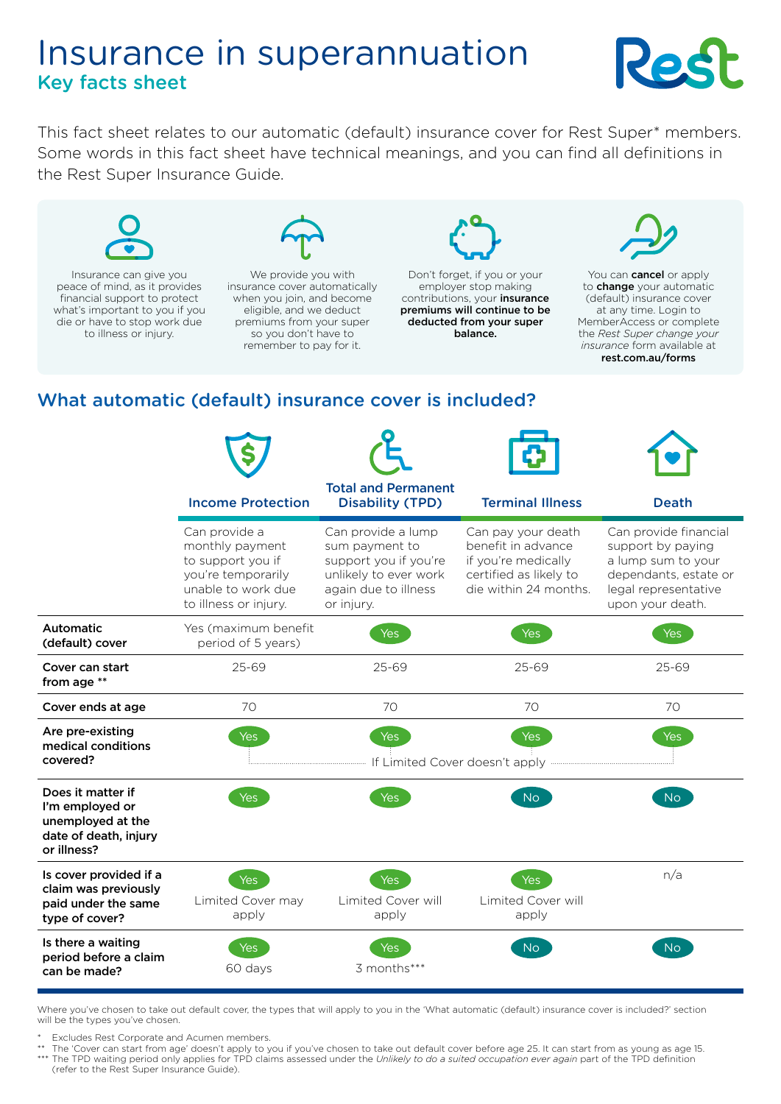# Insurance in superannuation Key facts sheet



This fact sheet relates to our automatic (default) insurance cover for Rest Super\* members. Some words in this fact sheet have technical meanings, and you can find all definitions in the Rest Super Insurance Guide.



Insurance can give you peace of mind, as it provides financial support to protect what's important to you if you die or have to stop work due to illness or injury.



We provide you with insurance cover automatically when you join, and become eligible, and we deduct premiums from your super so you don't have to remember to pay for it.



Don't forget, if you or your employer stop making contributions, your **insurance** premiums will continue to be deducted from your super balance.



You can **cancel** or apply to **change** your automatic (default) insurance cover at any time. Login to MemberAccess or complete the *Rest Super change your insurance* form available at [rest.com.au/forms](https://rest.com.au/forms)

## What automatic (default) insurance cover is included?

|                                                                                                   | <b>Income Protection</b>                                                                                                   | <b>Total and Permanent</b><br><b>Disability (TPD)</b>                                                                        | <b>Terminal Illness</b>                                                                                            | <b>Death</b>                                                                                                                          |
|---------------------------------------------------------------------------------------------------|----------------------------------------------------------------------------------------------------------------------------|------------------------------------------------------------------------------------------------------------------------------|--------------------------------------------------------------------------------------------------------------------|---------------------------------------------------------------------------------------------------------------------------------------|
|                                                                                                   | Can provide a<br>monthly payment<br>to support you if<br>you're temporarily<br>unable to work due<br>to illness or injury. | Can provide a lump<br>sum payment to<br>support you if you're<br>unlikely to ever work<br>again due to illness<br>or injury. | Can pay your death<br>benefit in advance<br>if you're medically<br>certified as likely to<br>die within 24 months. | Can provide financial<br>support by paying<br>a lump sum to your<br>dependants, estate or<br>legal representative<br>upon your death. |
| Automatic<br>(default) cover                                                                      | Yes (maximum benefit<br>period of 5 years)                                                                                 | Yes                                                                                                                          | <b>Yes</b>                                                                                                         | Yes                                                                                                                                   |
| Cover can start<br>from age **                                                                    | 25-69                                                                                                                      | $25 - 69$                                                                                                                    | 25-69                                                                                                              | $25 - 69$                                                                                                                             |
| Cover ends at age                                                                                 | 70                                                                                                                         | 70                                                                                                                           | 70                                                                                                                 | 70                                                                                                                                    |
| Are pre-existing<br>medical conditions<br>covered?                                                | Yes                                                                                                                        | <b>Yes</b><br>If Limited Cover doesn't apply                                                                                 | <b>Yes</b>                                                                                                         | <b>Yes</b>                                                                                                                            |
| Does it matter if<br>I'm employed or<br>unemployed at the<br>date of death, injury<br>or illness? | <b>Yes</b>                                                                                                                 | <b>Yes</b>                                                                                                                   | <b>No</b>                                                                                                          | No                                                                                                                                    |
| Is cover provided if a<br>claim was previously<br>paid under the same<br>type of cover?           | Yes<br>Limited Cover may<br>apply                                                                                          | Yes<br>Limited Cover will<br>apply                                                                                           | Yes<br><b>Limited Cover will</b><br>apply                                                                          | n/a                                                                                                                                   |
| Is there a waiting<br>period before a claim<br>can be made?                                       | Yes<br>60 days                                                                                                             | 3 months***                                                                                                                  | N <sub>o</sub>                                                                                                     | No.                                                                                                                                   |

Where you've chosen to take out default cover, the types that will apply to you in the 'What automatic (default) insurance cover is included?' section will be the types you've chosen.

Excludes Rest Corporate and Acumen members.

Expression that the mage of the start apply to you if you've chosen to take out default cover before age 25. It can start from as young as age 15.<br>\*\* The TPD waiting parind only applies for TPD claims assessed under the Un The TPD waiting period only applies for TPD claims assessed under the *Unlikely to do a suited occupation ever again* part of the TPD definition (refer to the Rest Super Insurance Guide).